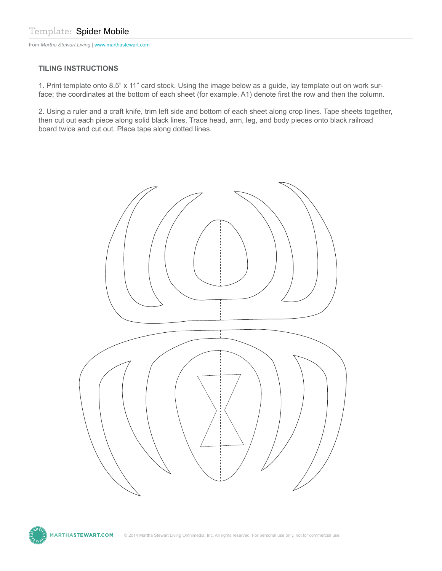from *Martha Stewart Living* | www.marthastewart.com

## **TILING INSTRUCTIONS**

1. Print template onto 8.5" x 11" card stock. Using the image below as a guide, lay template out on work surface; the coordinates at the bottom of each sheet (for example, A1) denote first the row and then the column.

2. Using a ruler and a craft knife, trim left side and bottom of each sheet along crop lines. Tape sheets together, then cut out each piece along solid black lines. Trace head, arm, leg, and body pieces onto black railroad board twice and cut out. Place tape along dotted lines.



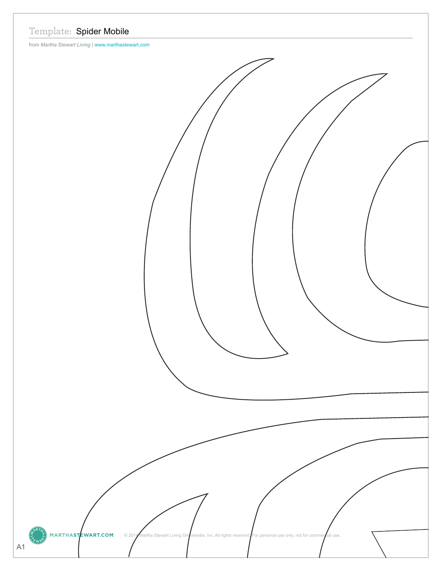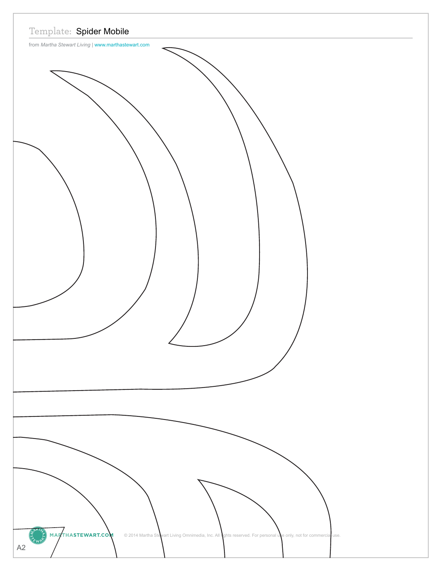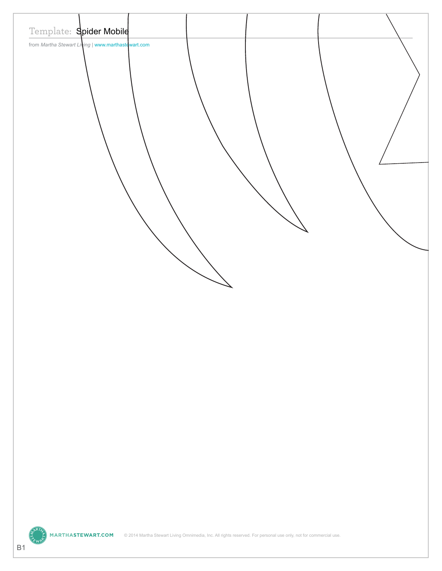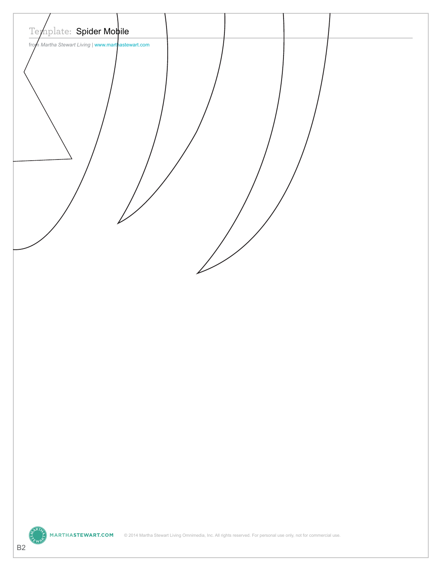